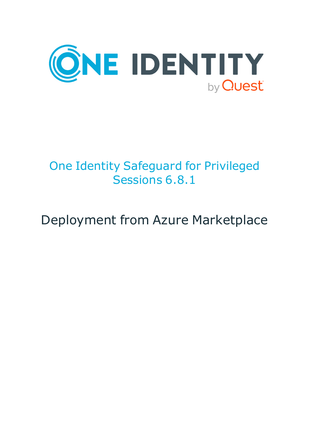

# One Identity Safeguard for Privileged Sessions 6.8.1

# Deployment from Azure Marketplace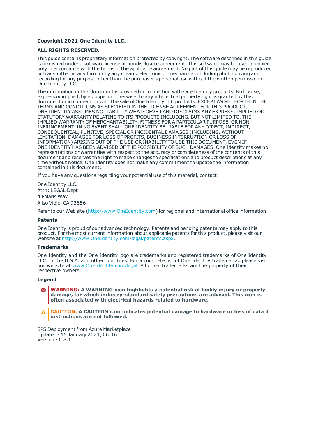#### **Copyright 2021 One Identity LLC.**

#### **ALL RIGHTS RESERVED.**

This guide contains proprietary information protected by copyright. The software described in this guide is furnished under a software license or nondisclosure agreement. This software may be used or copied only in accordance with the terms of the applicable agreement. No part of this guide may be reproduced or transmitted in any form or by any means, electronic or mechanical, including photocopying and recording for any purpose other than the purchaser's personal use without the written permission of One Identity LLC .

The information in this document is provided in connection with One Identity products. No license, express or implied, by estoppel or otherwise, to any intellectual property right is granted by this document or in connection with the sale of One Identity LLC products. EXCEPT AS SET FORTH IN THE TERMS AND CONDITIONS AS SPECIFIED IN THE LICENSE AGREEMENT FOR THIS PRODUCT, ONE IDENTITY ASSUMES NO LIABILITY WHATSOEVER AND DISCLAIMS ANY EXPRESS, IMPLIED OR STATUTORY WARRANTY RELATING TO ITS PRODUCTS INCLUDING, BUT NOT LIMITED TO, THE IMPLIED WARRANTY OF MERCHANTABILITY, FITNESS FOR A PARTICULAR PURPOSE, OR NON-INFRINGEMENT. IN NO EVENT SHALL ONE IDENTITY BE LIABLE FOR ANY DIRECT, INDIRECT, CONSEQUENTIAL, PUNITIVE, SPECIAL OR INCIDENTAL DAMAGES (INCLUDING, WITHOUT LIMITATION, DAMAGES FOR LOSS OF PROFITS, BUSINESS INTERRUPTION OR LOSS OF INFORMATION) ARISING OUT OF THE USE OR INABILITY TO USE THIS DOCUMENT, EVEN IF ONE IDENTITY HAS BEEN ADVISED OF THE POSSIBILITY OF SUCH DAMAGES. One Identity makes no representations or warranties with respect to the accuracy or completeness of the contents of this document and reserves the right to make changes to specifications and product descriptions at any time without notice. One Identity does not make any commitment to update the information contained in this document.

If you have any questions regarding your potential use of this material, contact:

One Identity LLC. Attn: LEGAL Dept 4 Polaris Way Aliso Viejo, CA 92656

Refer to our Web site ([http://www.OneIdentity.com](http://www.oneidentity.com/)) for regional and international office information.

#### **Patents**

One Identity is proud of our advanced technology. Patents and pending patents may apply to this product. For the most current information about applicable patents for this product, please visit our website at [http://www.OneIdentity.com/legal/patents.aspx](http://www.oneidentity.com/legal/patents.aspx).

#### **Trademarks**

One Identity and the One Identity logo are trademarks and registered trademarks of One Identity LLC. in the U.S.A. and other countries. For a complete list of One Identity trademarks, please visit our website at [www.OneIdentity.com/legal](http://www.oneidentity.com/legal). All other trademarks are the property of their respective owners.

#### **Legend**

**WARNING: A WARNING icon highlights a potential risk of bodily injury or property damage, for which industry-standard safety precautions are advised. This icon is often associated with electrical hazards related to hardware.**

**CAUTION: A CAUTION icon indicates potential damage to hardware or loss of data if** A **instructions are not followed.**

SPS Deployment from Azure Marketplace Updated - 15 January 2021, 06:16 Version - 6.8.1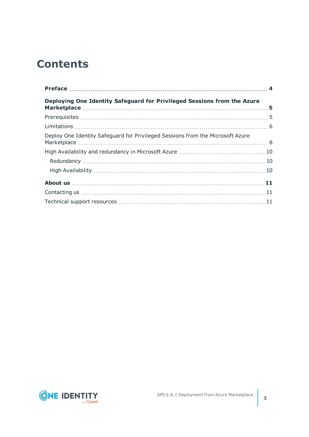## **Contents**

| Deploying One Identity Safeguard for Privileged Sessions from the Azure        |  |
|--------------------------------------------------------------------------------|--|
|                                                                                |  |
|                                                                                |  |
| Deploy One Identity Safeguard for Privileged Sessions from the Microsoft Azure |  |
|                                                                                |  |
|                                                                                |  |
|                                                                                |  |
|                                                                                |  |
|                                                                                |  |
|                                                                                |  |

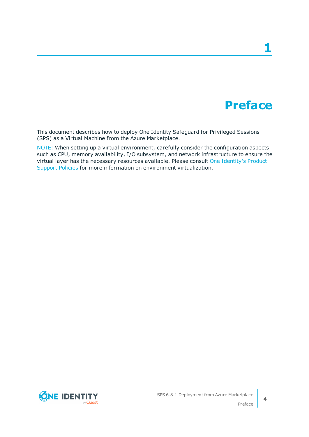# **Preface**

**1**

<span id="page-3-0"></span>This document describes how to deploy One Identity Safeguard for Privileged Sessions (SPS) as a Virtual Machine from the Azure Marketplace.

NOTE: When setting up a virtual environment, carefully consider the configuration aspects such as CPU, memory availability, I/O subsystem, and network infrastructure to ensure the virtual layer has the necessary resources available. Please consult One [Identity's](https://support.oneidentity.com/essentials/support-guide#tab3) Product [Support](https://support.oneidentity.com/essentials/support-guide#tab3) Policies for more information on environment virtualization.

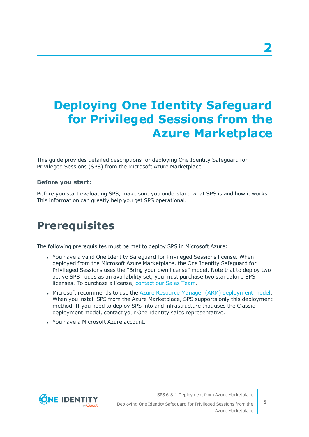# <span id="page-4-0"></span>**Deploying One Identity Safeguard for Privileged Sessions from the Azure Marketplace**

This guide provides detailed descriptions for deploying One Identity Safeguard for Privileged Sessions (SPS) from the Microsoft Azure Marketplace.

### **Before you start:**

Before you start evaluating SPS, make sure you understand what SPS is and how it works. This information can greatly help you get SPS operational.

## <span id="page-4-1"></span>**Prerequisites**

The following prerequisites must be met to deploy SPS in Microsoft Azure:

- You have a valid One Identity Safeguard for Privileged Sessions license. When deployed from the Microsoft Azure Marketplace, the One Identity Safeguard for Privileged Sessions uses the "Bring your own license" model. Note that to deploy two active SPS nodes as an availability set, you must purchase two standalone SPS licenses. To purchase a license, [contact](https://www.oneidentity.com/buy/) our Sales Team.
- Microsoft recommends to use the Azure Resource Manager (ARM) [deployment](https://docs.microsoft.com/en-us/azure/azure-resource-manager/resource-manager-deployment-model) model. When you install SPS from the Azure Marketplace, SPS supports only this deployment method. If you need to deploy SPS into and infrastructure that uses the Classic deployment model, contact your One Identity sales representative.
- . You have a Microsoft Azure account.

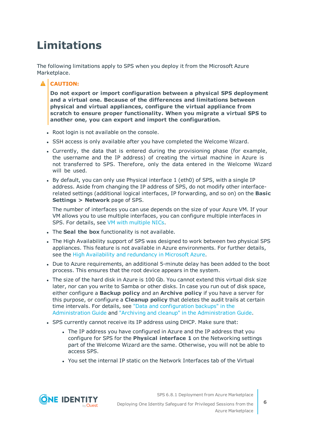# <span id="page-5-0"></span>**Limitations**

The following limitations apply to SPS when you deploy it from the Microsoft Azure Marketplace.

### **A** CAUTION:

**Do not export or import configuration between a physical SPS deployment and a virtual one. Because of the differences and limitations between physical and virtual appliances, configure the virtual appliance from scratch to ensure proper functionality. When you migrate a virtual SPS to another one, you can export and import the configuration.**

- Root login is not available on the console.
- SSH access is only available after you have completed the Welcome Wizard.
- Currently, the data that is entered during the provisioning phase (for example, the username and the IP address) of creating the virtual machine in Azure is not transferred to SPS. Therefore, only the data entered in the Welcome Wizard will be used.
- By default, you can only use Physical interface 1 (eth0) of SPS, with a single IP address. Aside from changing the IP address of SPS, do not modify other interfacerelated settings (additional logical interfaces, IP forwarding, and so on) on the **Basic Settings > Network** page of SPS.

The number of interfaces you can use depends on the size of your Azure VM. If your VM allows you to use multiple interfaces, you can configure multiple interfaces in SPS. For details, see VM with [multiple](https://docs.microsoft.com/en-us/azure/virtual-network/virtual-network-deploy-multinic-classic-ps) NICs.

- **.** The **Seal the box** functionality is not available.
- The High Availability support of SPS was designed to work between two physical SPS appliances. This feature is not available in Azure environments. For further details, see the High Availability and [redundancy](#page-9-0) in Microsoft Azure.
- Due to Azure requirements, an additional 5-minute delay has been added to the boot process. This ensures that the root device appears in the system.
- The size of the hard disk in Azure is 100 Gb. You cannot extend this virtual disk size later, nor can you write to Samba or other disks. In case you run out of disk space, either configure a **Backup policy** and an **Archive policy** if you have a server for this purpose, or configure a **Cleanup policy** that deletes the audit trails at certain time intervals. For details, see "Data and [configuration](https://support.oneidentity.com/technical-documents/safeguard-for-privileged-sessions/6.8.1/administration-guide/basic-settings/data-and-configuration-backups/) backups" in the [Administration](https://support.oneidentity.com/technical-documents/safeguard-for-privileged-sessions/6.8.1/administration-guide/basic-settings/data-and-configuration-backups/) Guide and "Archiving and cleanup" in the [Administration](https://support.oneidentity.com/technical-documents/safeguard-for-privileged-sessions/6.8.1/administration-guide/basic-settings/archiving-and-cleanup/) Guide.
- SPS currently cannot receive its IP address using DHCP. Make sure that:
	- The IP address you have configured in Azure and the IP address that you configure for SPS for the **Physical interface 1** on the Networking settings part of the Welcome Wizard are the same. Otherwise, you will not be able to access SPS.
	- You set the internal IP static on the Network Interfaces tab of the Virtual

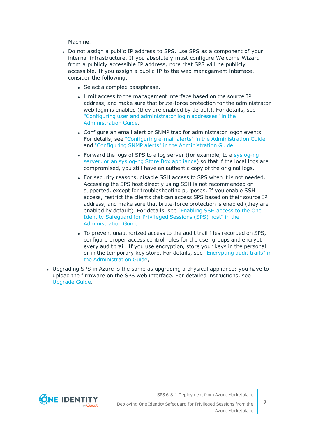Machine.

- Do not assign a public IP address to SPS, use SPS as a component of your internal infrastructure. If you absolutely must configure Welcome Wizard from a publicly accessible IP address, note that SPS will be publicly accessible. If you assign a public IP to the web management interface, consider the following:
	- Select a complex passphrase.
	- Limit access to the management interface based on the source IP address, and make sure that brute-force protection for the administrator web login is enabled (they are enabled by default). For details, see "Configuring user and [administrator](https://support.oneidentity.com/technical-documents/safeguard-for-privileged-sessions/6.8.1/administration-guide/basic-settings/network-settings/configuring-user-and-administrator-login-addresses/) login addresses" in the [Administration](https://support.oneidentity.com/technical-documents/safeguard-for-privileged-sessions/6.8.1/administration-guide/basic-settings/network-settings/configuring-user-and-administrator-login-addresses/) Guide.
	- Configure an email alert or SNMP trap for administrator logon events. For details, see "Configuring e-mail alerts" in the [Administration](https://support.oneidentity.com/technical-documents/safeguard-for-privileged-sessions/6.8.1/administration-guide/basic-settings/ system-logging-snmp-and-e-mail-alerts/configuring-e-mail-alerts/) Guide and "Configuring SNMP alerts" in the [Administration](https://support.oneidentity.com/technical-documents/safeguard-for-privileged-sessions/6.8.1/administration-guide/basic-settings/ system-logging-snmp-and-e-mail-alerts/configuring-snmp-alerts/) Guide.
	- Forward the logs of SPS to a log server (for example, to a [syslog-ng](https://syslog-ng.com/) server, or an [syslog-ng](https://syslog-ng.com/) Store Box appliance) so that if the local logs are compromised, you still have an authentic copy of the original logs.
	- For security reasons, disable SSH access to SPS when it is not needed. Accessing the SPS host directly using SSH is not recommended or supported, except for troubleshooting purposes. If you enable SSH access, restrict the clients that can access SPS based on their source IP address, and make sure that brute-force protection is enabled (they are enabled by default). For details, see ["Enabling](https://support.oneidentity.com/technical-documents/safeguard-for-privileged-sessions/6.8.1/administration-guide/managing-one-identity-safeguard-for-privileged-sessions-sps/accessing-the-one-identity-safeguard-for-privileged-sessions-sps-console/enabling-ssh-access-to-the-one-identity-safeguard-for-privileged-sessions-sps-host/) SSH access to the One Identity [Safeguard](https://support.oneidentity.com/technical-documents/safeguard-for-privileged-sessions/6.8.1/administration-guide/managing-one-identity-safeguard-for-privileged-sessions-sps/accessing-the-one-identity-safeguard-for-privileged-sessions-sps-console/enabling-ssh-access-to-the-one-identity-safeguard-for-privileged-sessions-sps-host/) for Privileged Sessions (SPS) host" in the [Administration](https://support.oneidentity.com/technical-documents/safeguard-for-privileged-sessions/6.8.1/administration-guide/managing-one-identity-safeguard-for-privileged-sessions-sps/accessing-the-one-identity-safeguard-for-privileged-sessions-sps-console/enabling-ssh-access-to-the-one-identity-safeguard-for-privileged-sessions-sps-host/) Guide.
	- To prevent unauthorized access to the audit trail files recorded on SPS, configure proper access control rules for the user groups and encrypt every audit trail. If you use encryption, store your keys in the personal or in the temporary key store. For details, see ["Encrypting](https://support.oneidentity.com/technical-documents/safeguard-for-privileged-sessions/6.8.1/administration-guide/general-connection-settings/audit-policies/encrypting-audit-trails/) audit trails" in the [Administration](https://support.oneidentity.com/technical-documents/safeguard-for-privileged-sessions/6.8.1/administration-guide/general-connection-settings/audit-policies/encrypting-audit-trails/) Guide,
- Upgrading SPS in Azure is the same as upgrading a physical appliance: you have to upload the firmware on the SPS web interface. For detailed instructions, see [Upgrade](https://support.oneidentity.com/technical-documents/safeguard-for-privileged-sessions/6.8.1/upgrade-guide/) Guide.

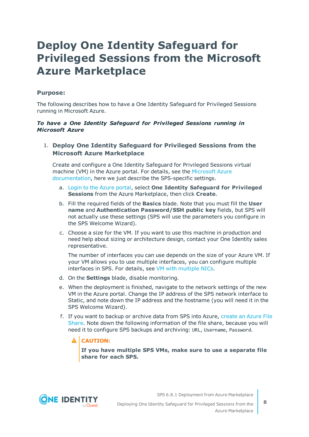## <span id="page-7-0"></span>**Deploy One Identity Safeguard for Privileged Sessions from the Microsoft Azure Marketplace**

### **Purpose:**

The following describes how to have a One Identity Safeguard for Privileged Sessions running in Microsoft Azure.

#### *To have a One Identity Safeguard for Privileged Sessions running in Microsoft Azure*

### 1. **Deploy One Identity Safeguard for Privileged Sessions from the Microsoft Azure Marketplace**

Create and configure a One Identity Safeguard for Privileged Sessions virtual machine (VM) in the Azure portal. For details, see the [Microsoft](https://docs.microsoft.com/en-us/azure/virtual-machines/windows/quick-create-portal) Azure [documentation,](https://docs.microsoft.com/en-us/azure/virtual-machines/windows/quick-create-portal) here we just describe the SPS-specific settings.

- a. Login to the Azure [portal,](https://portal.azure.com/) select **One Identity Safeguard for Privileged Sessions** from the Azure Marketplace, then click **Create**.
- b. Fill the required fields of the **Basics** blade. Note that you must fill the **User name** and **Authentication Password/SSH public key** fields, but SPS will not actually use these settings (SPS will use the parameters you configure in the SPS Welcome Wizard).
- c. Choose a size for the VM. If you want to use this machine in production and need help about sizing or architecture design, contact your One Identity sales representative.

The number of interfaces you can use depends on the size of your Azure VM. If your VM allows you to use multiple interfaces, you can configure multiple interfaces in SPS. For details, see VM with [multiple](https://docs.microsoft.com/en-us/azure/virtual-network/virtual-network-deploy-multinic-classic-ps) NICs.

- d. On the **Settings** blade, disable monitoring.
- e. When the deployment is finished, navigate to the network settings of the new VM in the Azure portal. Change the IP address of the SPS network interface to Static, and note down the IP address and the hostname (you will need it in the SPS Welcome Wizard).
- f. If you want to backup or archive data from SPS into Azure, [create](https://docs.microsoft.com/en-us/azure/storage/files/storage-dotnet-how-to-use-files#use-the-azure-portal-to-manage-a-file-share) an Azure File [Share](https://docs.microsoft.com/en-us/azure/storage/files/storage-dotnet-how-to-use-files#use-the-azure-portal-to-manage-a-file-share). Note down the following information of the file share, because you will need it to configure SPS backups and archiving: URL, Username, Password.

### **A** CAUTION:

**If you have multiple SPS VMs, make sure to use a separate file share for each SPS.**

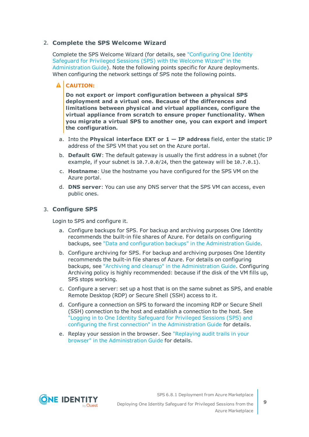### 2. **Complete the SPS Welcome Wizard**

Complete the SPS Welcome Wizard (for details, see ["Configuring](https://support.oneidentity.com/technical-documents/safeguard-for-privileged-sessions/6.8.1/administration-guide/the-welcome-wizard-and-the-first-login/configuring-one-identity-safeguard-for-privileged-sessions-sps-with-the-welcome-wizard/) One Identity [Safeguard](https://support.oneidentity.com/technical-documents/safeguard-for-privileged-sessions/6.8.1/administration-guide/the-welcome-wizard-and-the-first-login/configuring-one-identity-safeguard-for-privileged-sessions-sps-with-the-welcome-wizard/) for Privileged Sessions (SPS) with the Welcome Wizard" in the [Administration](https://support.oneidentity.com/technical-documents/safeguard-for-privileged-sessions/6.8.1/administration-guide/the-welcome-wizard-and-the-first-login/configuring-one-identity-safeguard-for-privileged-sessions-sps-with-the-welcome-wizard/) Guide). Note the following points specific for Azure deployments. When configuring the network settings of SPS note the following points.

#### A **CAUTION:**

**Do not export or import configuration between a physical SPS deployment and a virtual one. Because of the differences and limitations between physical and virtual appliances, configure the virtual appliance from scratch to ensure proper functionality. When you migrate a virtual SPS to another one, you can export and import the configuration.**

- a. Into the **Physical interface EXT or 1 — IP address** field, enter the static IP address of the SPS VM that you set on the Azure portal.
- b. **Default GW**: The default gateway is usually the first address in a subnet (for example, if your subnet is 10.7.0.0/24, then the gateway will be 10.7.0.1).
- c. **Hostname**: Use the hostname you have configured for the SPS VM on the Azure portal.
- d. **DNS server**: You can use any DNS server that the SPS VM can access, even public ones.

#### 3. **Configure SPS**

Login to SPS and configure it.

- a. Configure backups for SPS. For backup and archiving purposes One Identity recommends the built-in file shares of Azure. For details on configuring backups, see "Data and configuration backups" in the [Administration](https://support.oneidentity.com/technical-documents/safeguard-for-privileged-sessions/6.8.1/administration-guide/basic-settings/data-and-configuration-backups/) Guide.
- b. Configure archiving for SPS. For backup and archiving purposes One Identity recommends the built-in file shares of Azure. For details on configuring backups, see "Archiving and cleanup" in the [Administration](https://support.oneidentity.com/technical-documents/safeguard-for-privileged-sessions/6.8.1/administration-guide/basic-settings/archiving-and-cleanup/) Guide. Configuring Archiving policy is highly recommended: because if the disk of the VM fills up, SPS stops working.
- c. Configure a server: set up a host that is on the same subnet as SPS, and enable Remote Desktop (RDP) or Secure Shell (SSH) access to it.
- d. Configure a connection on SPS to forward the incoming RDP or Secure Shell (SSH) connection to the host and establish a connection to the host. See "Logging in to One Identity [Safeguard](https://support.oneidentity.com/technical-documents/safeguard-for-privileged-sessions/6.8.1/administration-guide/the-welcome-wizard-and-the-first-login/logging-in-to-one-identity-safeguard-for-privileged-sessions-sps-and-configuring-the-first-connection/) for Privileged Sessions (SPS) and configuring the first connection" in the [Administration](https://support.oneidentity.com/technical-documents/safeguard-for-privileged-sessions/6.8.1/administration-guide/the-welcome-wizard-and-the-first-login/logging-in-to-one-identity-safeguard-for-privileged-sessions-sps-and-configuring-the-first-connection/) Guide for details.
- e. Replay your session in the browser. See ["Replaying](https://support.oneidentity.com/technical-documents/safeguard-for-privileged-sessions/6.8.1/administration-guide/using-the-search-interface/replaying-audit-trails-in-your-browser/) audit trails in your browser" in the [Administration](https://support.oneidentity.com/technical-documents/safeguard-for-privileged-sessions/6.8.1/administration-guide/using-the-search-interface/replaying-audit-trails-in-your-browser/) Guide for details.

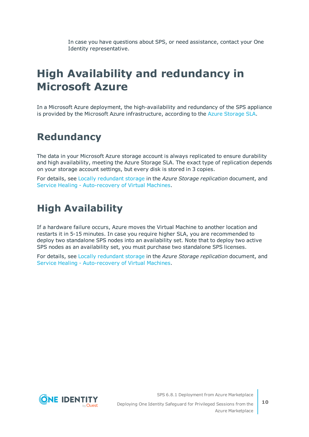In case you have questions about SPS, or need assistance, contact your One Identity representative.

## <span id="page-9-0"></span>**High Availability and redundancy in Microsoft Azure**

In a Microsoft Azure deployment, the high-availability and redundancy of the SPS appliance is provided by the Microsoft Azure infrastructure, according to the Azure [Storage](https://azure.microsoft.com/en-us/support/legal/sla/storage/v1_1/) SLA.

### <span id="page-9-1"></span>**Redundancy**

The data in your Microsoft Azure storage account is always replicated to ensure durability and high availability, meeting the Azure Storage SLA. The exact type of replication depends on your storage account settings, but every disk is stored in 3 copies.

For details, see Locally [redundant](https://docs.microsoft.com/en-us/azure/storage/common/storage-redundancy#locally-redundant-storage) storage in the *Azure Storage replication* document, and Service Healing - [Auto-recovery](https://azure.microsoft.com/en-us/blog/service-healing-auto-recovery-of-virtual-machines/) of Virtual Machines.

### <span id="page-9-2"></span>**High Availability**

If a hardware failure occurs, Azure moves the Virtual Machine to another location and restarts it in 5-15 minutes. In case you require higher SLA, you are recommended to deploy two standalone SPS nodes into an availability set. Note that to deploy two active SPS nodes as an availability set, you must purchase two standalone SPS licenses.

For details, see Locally [redundant](https://docs.microsoft.com/en-us/azure/storage/common/storage-redundancy#locally-redundant-storage) storage in the *Azure Storage replication* document, and Service Healing - [Auto-recovery](https://azure.microsoft.com/en-us/blog/service-healing-auto-recovery-of-virtual-machines/) of Virtual Machines.